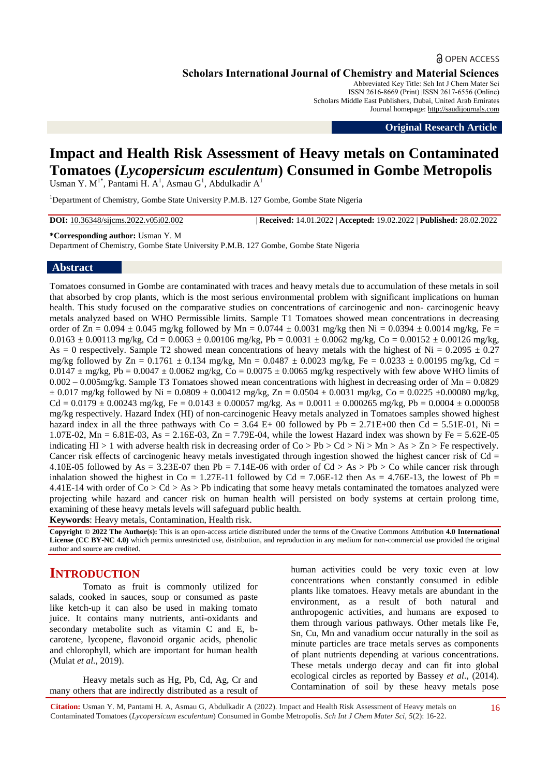## **a** OPEN ACCESS

**Scholars International Journal of Chemistry and Material Sciences**

Abbreviated Key Title: Sch Int J Chem Mater Sci ISSN 2616-8669 (Print) |ISSN 2617-6556 (Online) Scholars Middle East Publishers, Dubai, United Arab Emirates Journal homepage: [http://saudijournals.com](http://saudijournals.com/sijcms/)

**Original Research Article**

# **Impact and Health Risk Assessment of Heavy metals on Contaminated Tomatoes (***Lycopersicum esculentum***) Consumed in Gombe Metropolis**

Usman Y.  $M^{1*}$ , Pantami H. A<sup>1</sup>, Asmau G<sup>1</sup>, Abdulkadir A<sup>1</sup>

<sup>1</sup>Department of Chemistry, Gombe State University P.M.B. 127 Gombe, Gombe State Nigeria

**DOI:** 10.36348/sijcms.2022.v05i02.002 | **Received:** 14.01.2022 | **Accepted:** 19.02.2022 | **Published:** 28.02.2022

#### **\*Corresponding author:** Usman Y. M

Department of Chemistry, Gombe State University P.M.B. 127 Gombe, Gombe State Nigeria

## **Abstract**

Tomatoes consumed in Gombe are contaminated with traces and heavy metals due to accumulation of these metals in soil that absorbed by crop plants, which is the most serious environmental problem with significant implications on human health. This study focused on the comparative studies on concentrations of carcinogenic and non- carcinogenic heavy metals analyzed based on WHO Permissible limits. Sample T1 Tomatoes showed mean concentrations in decreasing order of  $Zn = 0.094 \pm 0.045$  mg/kg followed by Mn = 0.0744  $\pm$  0.0031 mg/kg then Ni = 0.0394  $\pm$  0.0014 mg/kg, Fe =  $0.0163 \pm 0.00113$  mg/kg, Cd =  $0.0063 \pm 0.00106$  mg/kg, Pb =  $0.0031 \pm 0.0062$  mg/kg, Co =  $0.00152 \pm 0.00126$  mg/kg, As = 0 respectively. Sample T2 showed mean concentrations of heavy metals with the highest of Ni =  $0.2095 \pm 0.27$ mg/kg followed by Zn =  $0.1761 \pm 0.134$  mg/kg, Mn =  $0.0487 \pm 0.0023$  mg/kg, Fe =  $0.0233 \pm 0.00195$  mg/kg, Cd =  $0.0147 \pm mg/kg$ , Pb =  $0.0047 \pm 0.0062$  mg/kg, Co =  $0.0075 \pm 0.0065$  mg/kg respectively with few above WHO limits of 0.002 – 0.005mg/kg. Sample T3 Tomatoes showed mean concentrations with highest in decreasing order of Mn = 0.0829  $\pm$  0.017 mg/kg followed by Ni = 0.0809  $\pm$  0.00412 mg/kg, Zn = 0.0504  $\pm$  0.0031 mg/kg, Co = 0.0225  $\pm$ 0.00080 mg/kg,  $Cd = 0.0179 \pm 0.00243$  mg/kg, Fe = 0.0143  $\pm$  0.00057 mg/kg. As = 0.0011  $\pm$  0.000265 mg/kg, Pb = 0.0004  $\pm$  0.000058 mg/kg respectively. Hazard Index (HI) of non-carcinogenic Heavy metals analyzed in Tomatoes samples showed highest hazard index in all the three pathways with  $Co = 3.64$  E+ 00 followed by Pb = 2.71E+00 then Cd = 5.51E-01, Ni = 1.07E-02, Mn = 6.81E-03, As = 2.16E-03, Zn = 7.79E-04, while the lowest Hazard index was shown by Fe = 5.62E-05 indicating HI > 1 with adverse health risk in decreasing order of  $Co > Pb > Cd > Ni > Mn > As > Zn > Fe$  respectively. Cancer risk effects of carcinogenic heavy metals investigated through ingestion showed the highest cancer risk of  $Cd =$ 4.10E-05 followed by As = 3.23E-07 then Pb = 7.14E-06 with order of Cd > As > Pb > Co while cancer risk through inhalation showed the highest in Co = 1.27E-11 followed by Cd = 7.06E-12 then As = 4.76E-13, the lowest of Pb = 4.41E-14 with order of  $Co > Cd > As > Pb$  indicating that some heavy metals contaminated the tomatoes analyzed were projecting while hazard and cancer risk on human health will persisted on body systems at certain prolong time, examining of these heavy metals levels will safeguard public health.

**Keywords**: Heavy metals, Contamination, Health risk.

**Copyright © 2022 The Author(s):** This is an open-access article distributed under the terms of the Creative Commons Attribution **4.0 International License (CC BY-NC 4.0)** which permits unrestricted use, distribution, and reproduction in any medium for non-commercial use provided the original author and source are credited.

## **INTRODUCTION**

Tomato as fruit is commonly utilized for salads, cooked in sauces, soup or consumed as paste like ketch-up it can also be used in making tomato juice. It contains many nutrients, anti-oxidants and secondary metabolite such as vitamin C and E, bcarotene, lycopene, flavonoid organic acids, phenolic and chlorophyll, which are important for human health (Mulat *et al.,* 2019).

Heavy metals such as Hg, Pb, Cd, Ag, Cr and many others that are indirectly distributed as a result of human activities could be very toxic even at low concentrations when constantly consumed in edible plants like tomatoes. Heavy metals are abundant in the environment, as a result of both natural and anthropogenic activities, and humans are exposed to them through various pathways. Other metals like Fe, Sn, Cu, Mn and vanadium occur naturally in the soil as minute particles are trace metals serves as components of plant nutrients depending at various concentrations. These metals undergo decay and can fit into global ecological circles as reported by Bassey *et al*., (2014). Contamination of soil by these heavy metals pose

**Citation:** Usman Y. M, Pantami H. A, Asmau G, Abdulkadir A (2022). Impact and Health Risk Assessment of Heavy metals on Contaminated Tomatoes (*Lycopersicum esculentum*) Consumed in Gombe Metropolis. *Sch Int J Chem Mater Sci, 5*(2): 16-22.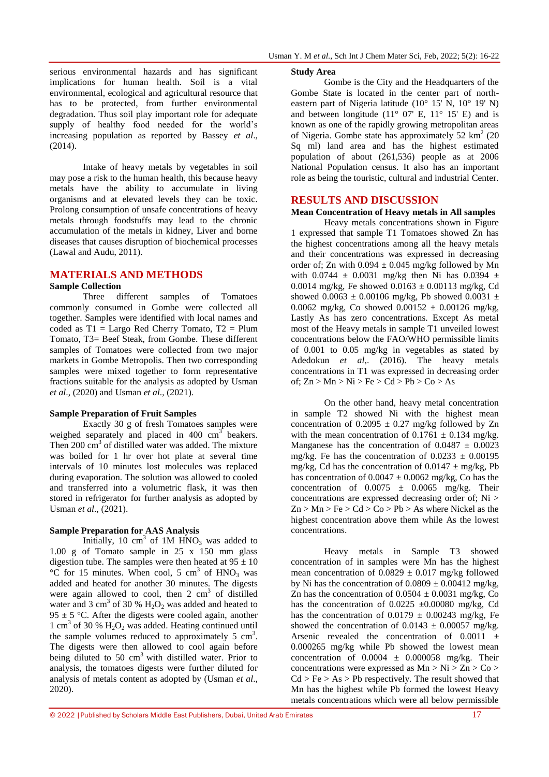serious environmental hazards and has significant implications for human health. Soil is a vital environmental, ecological and agricultural resource that has to be protected, from further environmental degradation. Thus soil play important role for adequate supply of healthy food needed for the world's increasing population as reported by Bassey *et al*., (2014).

Intake of heavy metals by vegetables in soil may pose a risk to the human health, this because heavy metals have the ability to accumulate in living organisms and at elevated levels they can be toxic. Prolong consumption of unsafe concentrations of heavy metals through foodstuffs may lead to the chronic accumulation of the metals in kidney, Liver and borne diseases that causes disruption of biochemical processes (Lawal and Audu, 2011).

## **MATERIALS AND METHODS**

#### **Sample Collection**

Three different samples of Tomatoes commonly consumed in Gombe were collected all together. Samples were identified with local names and coded as  $T1 = \text{Large Red Chern}$  Tomato,  $T2 = \text{Plum}$ Tomato, T3= Beef Steak, from Gombe. These different samples of Tomatoes were collected from two major markets in Gombe Metropolis. Then two corresponding samples were mixed together to form representative fractions suitable for the analysis as adopted by Usman *et al*., (2020) and Usman *et al*., (2021).

#### **Sample Preparation of Fruit Samples**

Exactly 30 g of fresh Tomatoes samples were weighed separately and placed in  $400 \text{ cm}^3$  beakers. Then  $200 \text{ cm}^3$  of distilled water was added. The mixture was boiled for 1 hr over hot plate at several time intervals of 10 minutes lost molecules was replaced during evaporation. The solution was allowed to cooled and transferred into a volumetric flask, it was then stored in refrigerator for further analysis as adopted by Usman *et al*., (2021).

## **Sample Preparation for AAS Analysis**

Initially, 10 cm<sup>3</sup> of 1M  $HNO<sub>3</sub>$  was added to 1.00 g of Tomato sample in 25 x 150 mm glass digestion tube. The samples were then heated at  $95 \pm 10$  $^{\circ}$ C for 15 minutes. When cool, 5 cm<sup>3</sup> of HNO<sub>3</sub> was added and heated for another 30 minutes. The digests were again allowed to cool, then  $2 \text{ cm}^3$  of distilled water and 3 cm<sup>3</sup> of 30 %  $H_2O_2$  was added and heated to 95  $\pm$  5 °C. After the digests were cooled again, another 1 cm<sup>3</sup> of 30 %  $H_2O_2$  was added. Heating continued until the sample volumes reduced to approximately  $5 \text{ cm}^3$ . The digests were then allowed to cool again before being diluted to 50  $\text{cm}^3$  with distilled water. Prior to analysis, the tomatoes digests were further diluted for analysis of metals content as adopted by (Usman *et al*., 2020).

#### **Study Area**

Gombe is the City and the Headquarters of the Gombe State is located in the center part of northeastern part of Nigeria latitude (10° 15' N, 10° 19' N) and between longitude  $(11^{\circ} 07^{\circ} E, 11^{\circ} 15^{\circ} E)$  and is known as one of the rapidly growing metropolitan areas of Nigeria. Gombe state has approximately  $52 \text{ km}^2$  (20 Sq ml) land area and has the highest estimated population of about (261,536) people as at 2006 National Population census. It also has an important role as being the touristic, cultural and industrial Center.

## **RESULTS AND DISCUSSION**

#### **Mean Concentration of Heavy metals in All samples**

Heavy metals concentrations shown in Figure 1 expressed that sample T1 Tomatoes showed Zn has the highest concentrations among all the heavy metals and their concentrations was expressed in decreasing order of; Zn with  $0.094 \pm 0.045$  mg/kg followed by Mn with 0.0744  $\pm$  0.0031 mg/kg then Ni has 0.0394  $\pm$ 0.0014 mg/kg, Fe showed  $0.0163 \pm 0.00113$  mg/kg, Cd showed 0.0063  $\pm$  0.00106 mg/kg, Pb showed 0.0031  $\pm$ 0.0062 mg/kg, Co showed  $0.00152 \pm 0.00126$  mg/kg, Lastly As has zero concentrations. Except As metal most of the Heavy metals in sample T1 unveiled lowest concentrations below the FAO/WHO permissible limits of 0.001 to 0.05 mg/kg in vegetables as stated by Adedokun *et al*,. (2016). The heavy metals concentrations in T1 was expressed in decreasing order of;  $Zn > Mn > Ni > Fe > Cd > Pb > Co > As$ 

On the other hand, heavy metal concentration in sample T2 showed Ni with the highest mean concentration of  $0.2095 \pm 0.27$  mg/kg followed by Zn with the mean concentration of  $0.1761 \pm 0.134$  mg/kg. Manganese has the concentration of  $0.0487 \pm 0.0023$ mg/kg. Fe has the concentration of  $0.0233 \pm 0.00195$ mg/kg, Cd has the concentration of  $0.0147 \pm \text{mg/kg}$ , Pb has concentration of  $0.0047 \pm 0.0062$  mg/kg, Co has the concentration of  $0.0075 \pm 0.0065$  mg/kg. Their concentrations are expressed decreasing order of; Ni >  $Zn > Mn > Fe > Cd > Co > Pb > As$  where Nickel as the highest concentration above them while As the lowest concentrations.

Heavy metals in Sample T3 showed concentration of in samples were Mn has the highest mean concentration of  $0.0829 \pm 0.017$  mg/kg followed by Ni has the concentration of  $0.0809 \pm 0.00412$  mg/kg, Zn has the concentration of  $0.0504 \pm 0.0031$  mg/kg, Co has the concentration of  $0.0225 \pm 0.00080$  mg/kg, Cd has the concentration of  $0.0179 \pm 0.00243$  mg/kg, Fe showed the concentration of  $0.0143 \pm 0.00057$  mg/kg. Arsenic revealed the concentration of  $0.0011 \pm$ 0.000265 mg/kg while Pb showed the lowest mean concentration of  $0.0004 \pm 0.000058$  mg/kg. Their concentrations were expressed as  $Mn > Ni > Zn > Co >$  $Cd > Fe > As > Pb$  respectively. The result showed that Mn has the highest while Pb formed the lowest Heavy metals concentrations which were all below permissible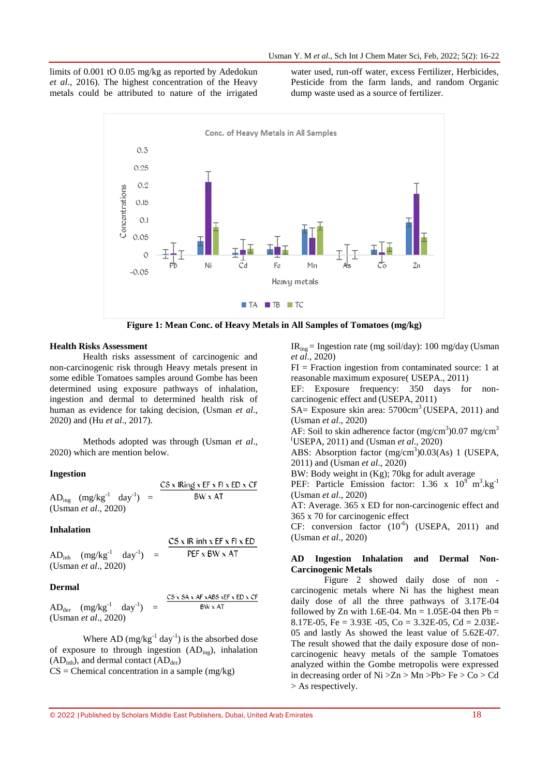limits of 0.001 tO 0.05 mg/kg as reported by Adedokun *et al*., 2016). The highest concentration of the Heavy metals could be attributed to nature of the irrigated water used, run-off water, excess Fertilizer, Herbicides, Pesticide from the farm lands, and random Organic dump waste used as a source of fertilizer.



**Figure 1: Mean Conc. of Heavy Metals in All Samples of Tomatoes (mg/kg)**

#### **Health Risks Assessment**

Health risks assessment of carcinogenic and non-carcinogenic risk through Heavy metals present in some edible Tomatoes samples around Gombe has been determined using exposure pathways of inhalation, ingestion and dermal to determined health risk of human as evidence for taking decision, (Usman *et al*., 2020) and (Hu *et al*., 2017).

Methods adopted was through (Usman *et al*., 2020) which are mention below.

#### **Ingestion**

 $CS$  x IRing x EF x FI x ED x CF  $AD_{ing}$  (mg/kg<sup>-1</sup> day<sup>-1</sup>) = BW x AT (Usman *et al*., 2020)

#### **Inhalation**

PEF x BW x AT  $AD<sub>inh</sub>$   $(mg/kg<sup>-1</sup>)$  $day^{-1}$  = (Usman *et al*., 2020)

 $CS \times IR$  inh  $x$  EF  $x$  FI  $x$  ED

#### **Dermal**

$$
AD_{\text{der}} \quad (\text{mg/kg}^{-1} \quad \text{day}^{-1}) = \frac{\text{CS x SA x AF xABS xEF x ED x CF}}{\text{BW x AT}}
$$
\n(Usman *et al.*, 2020)

Where AD  $(mg/kg^{-1} day^{-1})$  is the absorbed dose of exposure to through ingestion (ADing), inhalation  $(AD<sub>inh</sub>)$ , and dermal contact  $(AD<sub>der</sub>)$  $CS =$  Chemical concentration in a sample (mg/kg)

IRing = Ingestion rate (mg soil/day): 100 mg/day (Usman *et al*., 2020)

 $FI = Fraction ingestion from contaminated source: 1 at$ reasonable maximum exposure( USEPA., 2011)

EF: Exposure frequency: 350 days for noncarcinogenic effect and (USEPA, 2011)

SA= Exposure skin area:  $5700 \text{cm}^3$  (USEPA, 2011) and (Usman *et al*., 2020)

AF: Soil to skin adherence factor  $(mg/cm^3)0.07$  mg/cm<sup>3</sup> (USEPA, 2011) and (Usman *et al*., 2020)

ABS: Absorption factor  $(mg/cm<sup>3</sup>)0.03(As)$  1 (USEPA, 2011) and (Usman *et al*., 2020)

BW: Body weight in (Kg); 70kg for adult average

PEF: Particle Emission factor: 1.36 x  $10^{9}$  m<sup>3</sup>.kg<sup>-1</sup> (Usman *et al*., 2020)

AT: Average. 365 x ED for non-carcinogenic effect and 365 x 70 for carcinogenic effect

CF: conversion factor  $(10^{-6})$  (USEPA, 2011) and (Usman *et al*., 2020)

## **AD Ingestion Inhalation and Dermal Non-Carcinogenic Metals**

Figure 2 showed daily dose of non carcinogenic metals where Ni has the highest mean daily dose of all the three pathways of 3.17E-04 followed by Zn with 1.6E-04.  $\overline{Mn} = 1.05E-04$  then Pb = 8.17E-05, Fe =  $3.93E -05$ , Co =  $3.32E -05$ , Cd =  $2.03E -0.03E -0.03E$ 05 and lastly As showed the least value of 5.62E-07. The result showed that the daily exposure dose of noncarcinogenic heavy metals of the sample Tomatoes analyzed within the Gombe metropolis were expressed in decreasing order of  $Ni > Zn > Mn > Pb > Fe > Co > Cd$ > As respectively.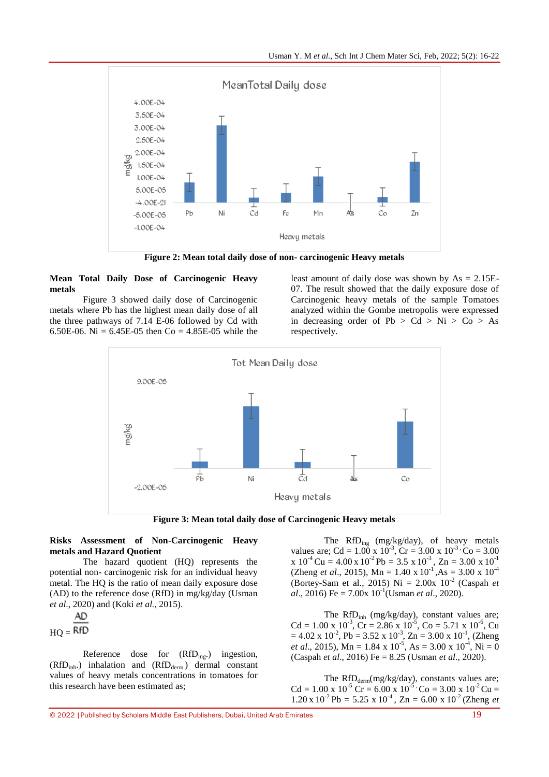

**Figure 2: Mean total daily dose of non- carcinogenic Heavy metals**

## **Mean Total Daily Dose of Carcinogenic Heavy metals**

Figure 3 showed daily dose of Carcinogenic metals where Pb has the highest mean daily dose of all the three pathways of 7.14 E-06 followed by Cd with 6.50E-06. Ni =  $6.45E-05$  then Co =  $4.85E-05$  while the

least amount of daily dose was shown by  $As = 2.15E$ -07. The result showed that the daily exposure dose of Carcinogenic heavy metals of the sample Tomatoes analyzed within the Gombe metropolis were expressed in decreasing order of  $Pb > Cd > Ni > Co > As$ respectively.



**Figure 3: Mean total daily dose of Carcinogenic Heavy metals**

## **Risks Assessment of Non-Carcinogenic Heavy metals and Hazard Quotient**

The hazard quotient (HQ) represents the potential non- carcinogenic risk for an individual heavy metal. The HQ is the ratio of mean daily exposure dose (AD) to the reference dose (RfD) in mg/kg/day (Usman *et al*., 2020) and (Koki *et al.,* 2015).

$$
\frac{AD}{BC}
$$

$$
HQ = \mathsf{RfD}
$$

Reference dose for (RfD<sub>ing</sub>.) ingestion,  $(RfD_{inh.})$  inhalation and  $(RfD_{dem.})$  dermal constant values of heavy metals concentrations in tomatoes for this research have been estimated as;

The RfD<sub>ing</sub> (mg/kg/day), of heavy metals values are; Cd =  $1.00 \times 10^{-3}$ , Cr =  $3.00 \times 10^{-3}$ , Co =  $3.00$  $x 10^{-4}$  Cu = 4.00 x 10<sup>-2</sup> Pb = 3.5 x 10<sup>-3</sup>, Zn = 3.00 x 10<sup>-1</sup> (Zheng *et al.*, 2015), Mn = 1.40 x  $10^{-1}$ , As = 3.00 x  $10^{-4}$ (Bortey-Sam et al., 2015) Ni =  $2.00x$  10<sup>-2</sup> (Caspah *et*  $al., 2016$ ) Fe =  $7.00x 10^{-1}$ (Usman *et al.*, 2020).

The RfD<sub>inh</sub> (mg/kg/day), constant values are;  $Cd = 1.00 \times 10^{-3}$ ,  $Cr = 2.86 \times 10^{-5}$ ,  $Co = 5.71 \times 10^{-6}$ ,  $Cu$  $= 4.02 \times 10^{-2}$ , Pb = 3.52 x 10<sup>-3</sup>, Zn = 3.00 x 10<sup>-1</sup>, (Zheng *et al.*, 2015), Mn = 1.84 x 10<sup>-5</sup>, As = 3.00 x 10<sup>-4</sup>, Ni = 0 (Caspah *et al*., 2016) Fe = 8.25 (Usman *et al*., 2020).

The  $RfD_{\text{derm}}(mg/kg/day)$ , constants values are;  $Cd = 1.00 \times 10^{-5}$  Cr = 6.00 x  $10^{-5}$  Co = 3.00 x  $10^{-2}$  Cu =  $1.20 \times 10^{-2}$  Pb = 5.25 x 10<sup>-4</sup>, Zn = 6.00 x 10<sup>-2</sup> (Zheng *et*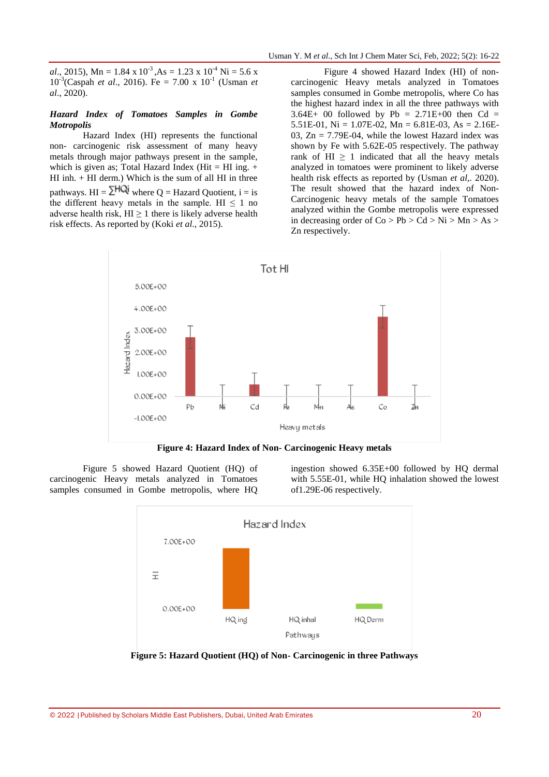*al*., 2015), Mn = 1.84 x  $10^{-3}$ , As = 1.23 x  $10^{-4}$  Ni = 5.6 x 10-3 (Caspah *et al*., 2016). Fe = 7.00 x 10-1 (Usman *et al*., 2020).

### *Hazard Index of Tomatoes Samples in Gombe Motropolis*

Hazard Index (HI) represents the functional non- carcinogenic risk assessment of many heavy metals through major pathways present in the sample, which is given as; Total Hazard Index (Hit = HI ing.  $+$ HI inh.  $+$  HI derm.) Which is the sum of all HI in three pathways.  $HI = \Sigma HQi$  where Q = Hazard Quotient, i = is the different heavy metals in the sample. HI  $\leq 1$  no adverse health risk,  $HI \ge 1$  there is likely adverse health risk effects. As reported by (Koki *et al*., 2015).

Figure 4 showed Hazard Index (HI) of noncarcinogenic Heavy metals analyzed in Tomatoes samples consumed in Gombe metropolis, where Co has the highest hazard index in all the three pathways with  $3.64E+ 00$  followed by Pb =  $2.71E+00$  then Cd = 5.51E-01, Ni = 1.07E-02, Mn = 6.81E-03, As =  $2.16E-$ 03,  $Zn = 7.79E-04$ , while the lowest Hazard index was shown by Fe with 5.62E-05 respectively. The pathway rank of HI  $\geq$  1 indicated that all the heavy metals analyzed in tomatoes were prominent to likely adverse health risk effects as reported by (Usman *et al,*. 2020). The result showed that the hazard index of Non-Carcinogenic heavy metals of the sample Tomatoes analyzed within the Gombe metropolis were expressed in decreasing order of  $Co > Pb > Cd > Ni > Mn > As >$ Zn respectively.



**Figure 4: Hazard Index of Non- Carcinogenic Heavy metals**

Figure 5 showed Hazard Quotient (HQ) of carcinogenic Heavy metals analyzed in Tomatoes samples consumed in Gombe metropolis, where HQ

ingestion showed 6.35E+00 followed by HQ dermal with 5.55E-01, while HQ inhalation showed the lowest of1.29E-06 respectively.



**Figure 5: Hazard Quotient (HQ) of Non- Carcinogenic in three Pathways**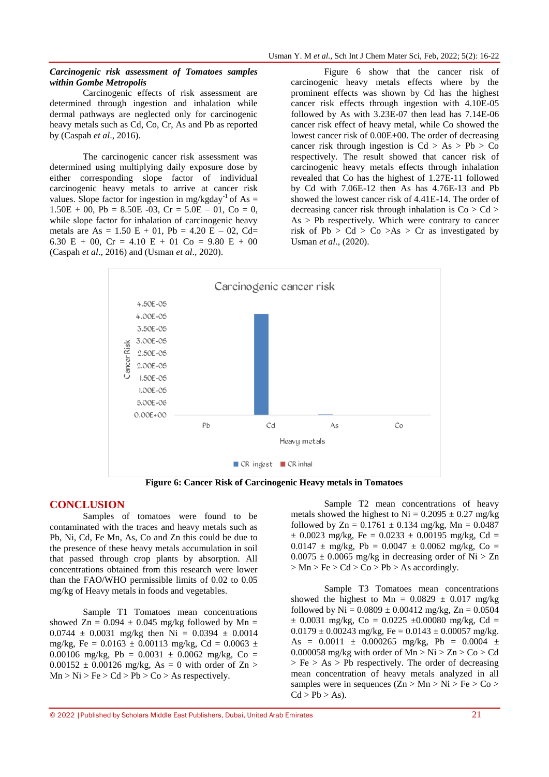#### *Carcinogenic risk assessment of Tomatoes samples within Gombe Metropolis*

Carcinogenic effects of risk assessment are determined through ingestion and inhalation while dermal pathways are neglected only for carcinogenic heavy metals such as Cd, Co, Cr, As and Pb as reported by (Caspah *et al*., 2016).

The carcinogenic cancer risk assessment was determined using multiplying daily exposure dose by either corresponding slope factor of individual carcinogenic heavy metals to arrive at cancer risk values. Slope factor for ingestion in mg/kgday<sup>-1</sup> of As =  $1.50E + 00$ ,  $Pb = 8.50E - 03$ ,  $Cr = 5.0E - 01$ ,  $Co = 0$ , while slope factor for inhalation of carcinogenic heavy metals are  $As = 1.50 E + 01$ ,  $Pb = 4.20 E - 02$ , Cd= 6.30 E + 00, Cr = 4.10 E + 01 Co = 9.80 E + 00 (Caspah *et al*., 2016) and (Usman *et al*., 2020).

Figure 6 show that the cancer risk of carcinogenic heavy metals effects where by the prominent effects was shown by Cd has the highest cancer risk effects through ingestion with 4.10E-05 followed by As with 3.23E-07 then lead has 7.14E-06 cancer risk effect of heavy metal, while Co showed the lowest cancer risk of 0.00E+00. The order of decreasing cancer risk through ingestion is  $Cd > As > Pb > Co$ respectively. The result showed that cancer risk of carcinogenic heavy metals effects through inhalation revealed that Co has the highest of 1.27E-11 followed by Cd with 7.06E-12 then As has 4.76E-13 and Pb showed the lowest cancer risk of 4.41E-14. The order of decreasing cancer risk through inhalation is  $Co > Cd >$  $As > Pb$  respectively. Which were contrary to cancer risk of Pb > Cd > Co > As > Cr as investigated by Usman *et al*., (2020).



**Figure 6: Cancer Risk of Carcinogenic Heavy metals in Tomatoes**

## **CONCLUSION**

Samples of tomatoes were found to be contaminated with the traces and heavy metals such as Pb, Ni, Cd, Fe Mn, As, Co and Zn this could be due to the presence of these heavy metals accumulation in soil that passed through crop plants by absorption. All concentrations obtained from this research were lower than the FAO/WHO permissible limits of 0.02 to 0.05 mg/kg of Heavy metals in foods and vegetables.

Sample T1 Tomatoes mean concentrations showed Zn =  $0.094 \pm 0.045$  mg/kg followed by Mn =  $0.0744 \pm 0.0031$  mg/kg then Ni = 0.0394  $\pm$  0.0014 mg/kg, Fe =  $0.0163 \pm 0.00113$  mg/kg, Cd =  $0.0063 \pm$ 0.00106 mg/kg, Pb = 0.0031  $\pm$  0.0062 mg/kg, Co =  $0.00152 \pm 0.00126$  mg/kg, As = 0 with order of Zn >  $Mn > Ni > Fe > Cd > Pb > Co > As respectively.$ 

Sample T2 mean concentrations of heavy metals showed the highest to  $Ni = 0.2095 \pm 0.27$  mg/kg followed by  $Zn = 0.1761 \pm 0.134$  mg/kg,  $Mn = 0.0487$  $\pm$  0.0023 mg/kg, Fe = 0.0233  $\pm$  0.00195 mg/kg, Cd =  $0.0147 \pm \text{mg/kg}$ , Pb =  $0.0047 \pm 0.0062$  mg/kg, Co =  $0.0075 \pm 0.0065$  mg/kg in decreasing order of Ni  $> Zn$  $> Mn > Fe > Cd > Co > Pb > As accordingly.$ 

Sample T3 Tomatoes mean concentrations showed the highest to Mn =  $0.0829 \pm 0.017$  mg/kg followed by Ni =  $0.0809 \pm 0.00412$  mg/kg, Zn =  $0.0504$  $\pm$  0.0031 mg/kg, Co = 0.0225  $\pm$ 0.00080 mg/kg, Cd =  $0.0179 \pm 0.00243$  mg/kg, Fe =  $0.0143 \pm 0.00057$  mg/kg. As =  $0.0011 \pm 0.000265$  mg/kg, Pb =  $0.0004 \pm 0.0004$ 0.000058 mg/kg with order of  $Mn > Ni > Zn > Co > Cd$  $>$  Fe  $>$  As  $>$  Pb respectively. The order of decreasing mean concentration of heavy metals analyzed in all samples were in sequences  $(Zn > Mn > Ni > Fe > Co >$  $Cd > Pb > As$ ).